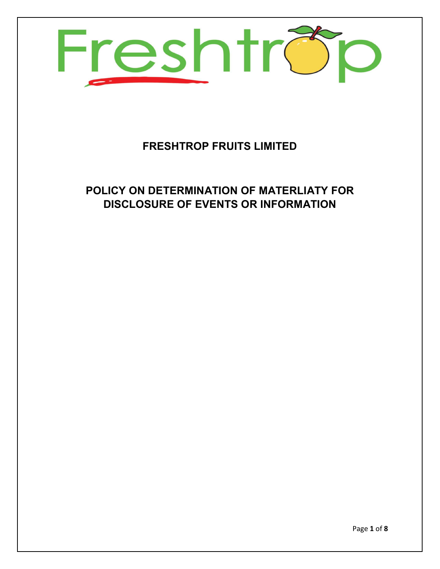

# FRESHTROP FRUITS LIMITED

# POLICY ON DETERMINATION OF MATERLIATY FOR DISCLOSURE OF EVENTS OR INFORMATION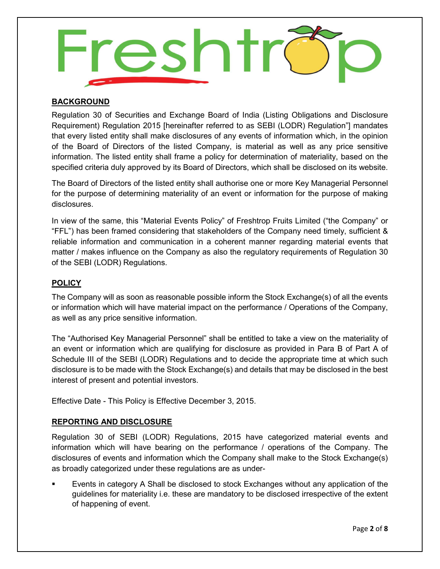

## BACKGROUND

Regulation 30 of Securities and Exchange Board of India (Listing Obligations and Disclosure Requirement) Regulation 2015 [hereinafter referred to as SEBI (LODR) Regulation"] mandates that every listed entity shall make disclosures of any events of information which, in the opinion of the Board of Directors of the listed Company, is material as well as any price sensitive information. The listed entity shall frame a policy for determination of materiality, based on the specified criteria duly approved by its Board of Directors, which shall be disclosed on its website.

The Board of Directors of the listed entity shall authorise one or more Key Managerial Personnel for the purpose of determining materiality of an event or information for the purpose of making disclosures.

In view of the same, this "Material Events Policy" of Freshtrop Fruits Limited ("the Company" or "FFL") has been framed considering that stakeholders of the Company need timely, sufficient & reliable information and communication in a coherent manner regarding material events that matter / makes influence on the Company as also the regulatory requirements of Regulation 30 of the SEBI (LODR) Regulations.

## **POLICY**

The Company will as soon as reasonable possible inform the Stock Exchange(s) of all the events or information which will have material impact on the performance / Operations of the Company, as well as any price sensitive information.

The "Authorised Key Managerial Personnel" shall be entitled to take a view on the materiality of an event or information which are qualifying for disclosure as provided in Para B of Part A of Schedule III of the SEBI (LODR) Regulations and to decide the appropriate time at which such disclosure is to be made with the Stock Exchange(s) and details that may be disclosed in the best interest of present and potential investors.

Effective Date - This Policy is Effective December 3, 2015.

## REPORTING AND DISCLOSURE

Regulation 30 of SEBI (LODR) Regulations, 2015 have categorized material events and information which will have bearing on the performance / operations of the Company. The disclosures of events and information which the Company shall make to the Stock Exchange(s) as broadly categorized under these regulations are as under-

 Events in category A Shall be disclosed to stock Exchanges without any application of the guidelines for materiality i.e. these are mandatory to be disclosed irrespective of the extent of happening of event.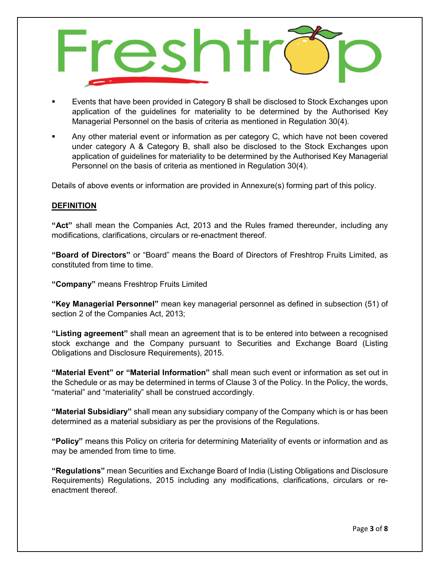

- Events that have been provided in Category B shall be disclosed to Stock Exchanges upon application of the guidelines for materiality to be determined by the Authorised Key Managerial Personnel on the basis of criteria as mentioned in Regulation 30(4).
- Any other material event or information as per category C, which have not been covered under category A & Category B, shall also be disclosed to the Stock Exchanges upon application of guidelines for materiality to be determined by the Authorised Key Managerial Personnel on the basis of criteria as mentioned in Regulation 30(4).

Details of above events or information are provided in Annexure(s) forming part of this policy.

## **DEFINITION**

"Act" shall mean the Companies Act, 2013 and the Rules framed thereunder, including any modifications, clarifications, circulars or re-enactment thereof.

"Board of Directors" or "Board" means the Board of Directors of Freshtrop Fruits Limited, as constituted from time to time.

"Company" means Freshtrop Fruits Limited

"Key Managerial Personnel" mean key managerial personnel as defined in subsection (51) of section 2 of the Companies Act, 2013;

"Listing agreement" shall mean an agreement that is to be entered into between a recognised stock exchange and the Company pursuant to Securities and Exchange Board (Listing Obligations and Disclosure Requirements), 2015.

"Material Event" or "Material Information" shall mean such event or information as set out in the Schedule or as may be determined in terms of Clause 3 of the Policy. In the Policy, the words, "material" and "materiality" shall be construed accordingly.

"Material Subsidiary" shall mean any subsidiary company of the Company which is or has been determined as a material subsidiary as per the provisions of the Regulations.

"Policy" means this Policy on criteria for determining Materiality of events or information and as may be amended from time to time.

"Regulations" mean Securities and Exchange Board of India (Listing Obligations and Disclosure Requirements) Regulations, 2015 including any modifications, clarifications, circulars or reenactment thereof.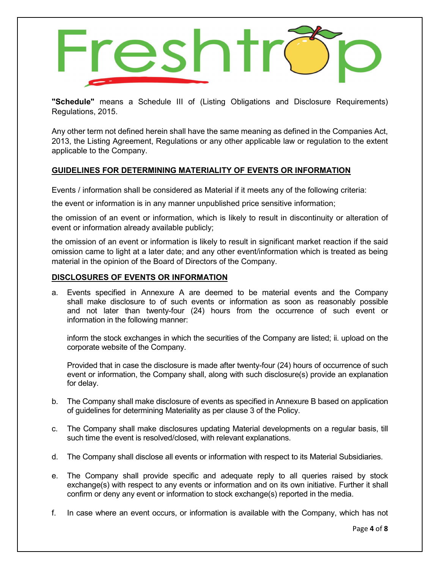

"Schedule" means a Schedule III of (Listing Obligations and Disclosure Requirements) Regulations, 2015.

Any other term not defined herein shall have the same meaning as defined in the Companies Act, 2013, the Listing Agreement, Regulations or any other applicable law or regulation to the extent applicable to the Company.

## GUIDELINES FOR DETERMINING MATERIALITY OF EVENTS OR INFORMATION

Events / information shall be considered as Material if it meets any of the following criteria:

the event or information is in any manner unpublished price sensitive information;

the omission of an event or information, which is likely to result in discontinuity or alteration of event or information already available publicly;

the omission of an event or information is likely to result in significant market reaction if the said omission came to light at a later date; and any other event/information which is treated as being material in the opinion of the Board of Directors of the Company.

## DISCLOSURES OF EVENTS OR INFORMATION

a. Events specified in Annexure A are deemed to be material events and the Company shall make disclosure to of such events or information as soon as reasonably possible and not later than twenty-four (24) hours from the occurrence of such event or information in the following manner:

inform the stock exchanges in which the securities of the Company are listed; ii. upload on the corporate website of the Company.

Provided that in case the disclosure is made after twenty-four (24) hours of occurrence of such event or information, the Company shall, along with such disclosure(s) provide an explanation for delay.

- b. The Company shall make disclosure of events as specified in Annexure B based on application of guidelines for determining Materiality as per clause 3 of the Policy.
- c. The Company shall make disclosures updating Material developments on a regular basis, till such time the event is resolved/closed, with relevant explanations.
- d. The Company shall disclose all events or information with respect to its Material Subsidiaries.
- e. The Company shall provide specific and adequate reply to all queries raised by stock exchange(s) with respect to any events or information and on its own initiative. Further it shall confirm or deny any event or information to stock exchange(s) reported in the media.
- f. In case where an event occurs, or information is available with the Company, which has not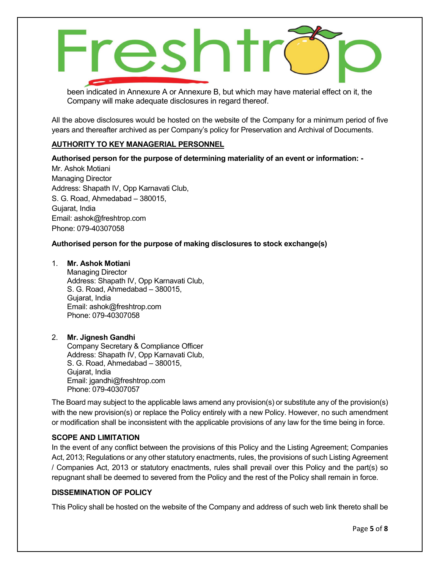esht

been indicated in Annexure A or Annexure B, but which may have material effect on it, the Company will make adequate disclosures in regard thereof.

All the above disclosures would be hosted on the website of the Company for a minimum period of five years and thereafter archived as per Company's policy for Preservation and Archival of Documents.

## AUTHORITY TO KEY MANAGERIAL PERSONNEL

Authorised person for the purpose of determining materiality of an event or information: -

Mr. Ashok Motiani Managing Director Address: Shapath IV, Opp Karnavati Club, S. G. Road, Ahmedabad – 380015, Gujarat, India Email: ashok@freshtrop.com Phone: 079-40307058

#### Authorised person for the purpose of making disclosures to stock exchange(s)

#### 1. Mr. Ashok Motiani

Managing Director Address: Shapath IV, Opp Karnavati Club, S. G. Road, Ahmedabad – 380015, Gujarat, India Email: ashok@freshtrop.com Phone: 079-40307058

#### 2. Mr. Jignesh Gandhi

Company Secretary & Compliance Officer Address: Shapath IV, Opp Karnavati Club, S. G. Road, Ahmedabad – 380015, Gujarat, India Email: jgandhi@freshtrop.com Phone: 079-40307057

The Board may subject to the applicable laws amend any provision(s) or substitute any of the provision(s) with the new provision(s) or replace the Policy entirely with a new Policy. However, no such amendment or modification shall be inconsistent with the applicable provisions of any law for the time being in force.

#### SCOPE AND LIMITATION

In the event of any conflict between the provisions of this Policy and the Listing Agreement; Companies Act, 2013; Regulations or any other statutory enactments, rules, the provisions of such Listing Agreement / Companies Act, 2013 or statutory enactments, rules shall prevail over this Policy and the part(s) so repugnant shall be deemed to severed from the Policy and the rest of the Policy shall remain in force.

#### DISSEMINATION OF POLICY

This Policy shall be hosted on the website of the Company and address of such web link thereto shall be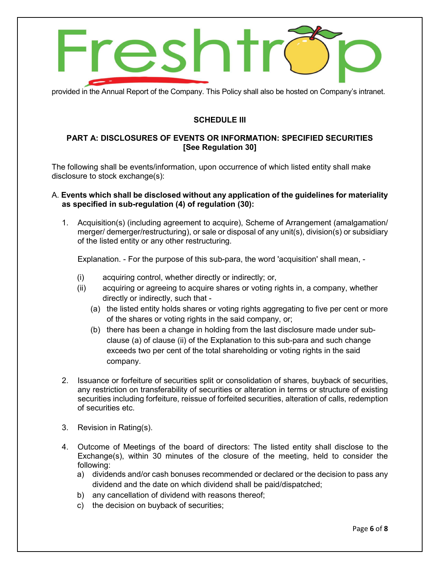

provided in the Annual Report of the Company. This Policy shall also be hosted on Company's intranet.

## SCHEDULE III

## PART A: DISCLOSURES OF EVENTS OR INFORMATION: SPECIFIED SECURITIES [See Regulation 30]

The following shall be events/information, upon occurrence of which listed entity shall make disclosure to stock exchange(s):

## A. Events which shall be disclosed without any application of the guidelines for materiality as specified in sub-regulation (4) of regulation (30):

1. Acquisition(s) (including agreement to acquire), Scheme of Arrangement (amalgamation/ merger/ demerger/restructuring), or sale or disposal of any unit(s), division(s) or subsidiary of the listed entity or any other restructuring.

Explanation. - For the purpose of this sub-para, the word 'acquisition' shall mean, -

- (i) acquiring control, whether directly or indirectly; or,
- (ii) acquiring or agreeing to acquire shares or voting rights in, a company, whether directly or indirectly, such that -
	- (a) the listed entity holds shares or voting rights aggregating to five per cent or more of the shares or voting rights in the said company, or;
	- (b) there has been a change in holding from the last disclosure made under subclause (a) of clause (ii) of the Explanation to this sub-para and such change exceeds two per cent of the total shareholding or voting rights in the said company.
- 2. Issuance or forfeiture of securities split or consolidation of shares, buyback of securities, any restriction on transferability of securities or alteration in terms or structure of existing securities including forfeiture, reissue of forfeited securities, alteration of calls, redemption of securities etc.
- 3. Revision in Rating(s).
- 4. Outcome of Meetings of the board of directors: The listed entity shall disclose to the Exchange(s), within 30 minutes of the closure of the meeting, held to consider the following:
	- a) dividends and/or cash bonuses recommended or declared or the decision to pass any dividend and the date on which dividend shall be paid/dispatched;
	- b) any cancellation of dividend with reasons thereof;
	- c) the decision on buyback of securities;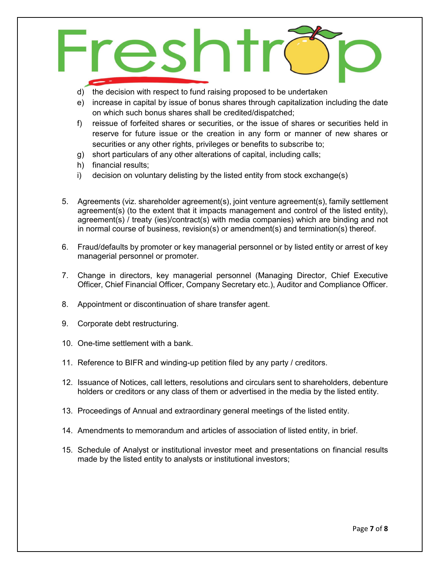

- d) the decision with respect to fund raising proposed to be undertaken
- e) increase in capital by issue of bonus shares through capitalization including the date on which such bonus shares shall be credited/dispatched;
- f) reissue of forfeited shares or securities, or the issue of shares or securities held in reserve for future issue or the creation in any form or manner of new shares or securities or any other rights, privileges or benefits to subscribe to;
- g) short particulars of any other alterations of capital, including calls;
- h) financial results;
- i) decision on voluntary delisting by the listed entity from stock exchange(s)
- 5. Agreements (viz. shareholder agreement(s), joint venture agreement(s), family settlement agreement(s) (to the extent that it impacts management and control of the listed entity), agreement(s) / treaty (ies)/contract(s) with media companies) which are binding and not in normal course of business, revision(s) or amendment(s) and termination(s) thereof.
- 6. Fraud/defaults by promoter or key managerial personnel or by listed entity or arrest of key managerial personnel or promoter.
- 7. Change in directors, key managerial personnel (Managing Director, Chief Executive Officer, Chief Financial Officer, Company Secretary etc.), Auditor and Compliance Officer.
- 8. Appointment or discontinuation of share transfer agent.
- 9. Corporate debt restructuring.
- 10. One-time settlement with a bank.
- 11. Reference to BIFR and winding-up petition filed by any party / creditors.
- 12. Issuance of Notices, call letters, resolutions and circulars sent to shareholders, debenture holders or creditors or any class of them or advertised in the media by the listed entity.
- 13. Proceedings of Annual and extraordinary general meetings of the listed entity.
- 14. Amendments to memorandum and articles of association of listed entity, in brief.
- 15. Schedule of Analyst or institutional investor meet and presentations on financial results made by the listed entity to analysts or institutional investors;